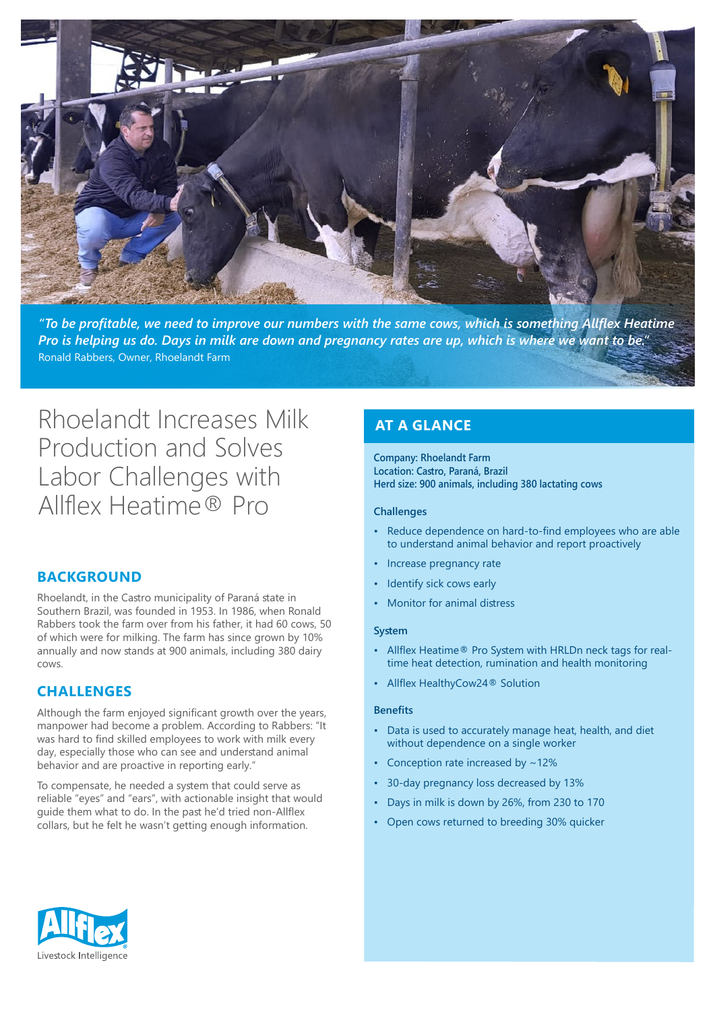

 *Heatime Allflex something is which ,cows same the with numbers our improve to need we ,profitable be To"* Pro is helping us do. Days in milk are down and pregnancy rates are up, which is where we want to be." Ronald Rabbers, Owner, Rhoelandt Farm

# Rhoelandt Increases Milk Production and Solves Labor Challenges with Allflex Heatime ® Pro

# **BACKGROUND**

Rhoelandt, in the Castro municipality of Paraná state in Southern Brazil, was founded in 1953. In 1986, when Ronald Rabbers took the farm over from his father, it had 60 cows, 50 of which were for milking. The farm has since grown by 10% annually and now stands at 900 animals, including 380 dairy .cows

### **CHALLENGES**

Although the farm enjoyed significant growth over the years, manpower had become a problem. According to Rabbers: "It was hard to find skilled employees to work with milk every day, especially those who can see and understand animal behavior and are proactive in reporting early."

To compensate, he needed a system that could serve as reliable "eyes" and "ears", with actionable insight that would quide them what to do. In the past he'd tried non-Allflex collars, but he felt he wasn't getting enough information.

# **AT A GLANCE**

**Company: Rhoelandt Farm** Location: Castro, Paraná, Brazil **Herd size: 900 animals, including 380 lactating cows** 

#### **Challenges**

- Reduce dependence on hard-to-find employees who are able to understand animal behavior and report proactively
- Increase pregnancy rate
- Identify sick cows early
- Monitor for animal distress

#### **System**

- time heat detection, rumination and health monitoring • Allflex Heatime® Pro System with HRLDn neck tags for real-
- Allflex HealthyCow 24<sup>®</sup> Solution

#### **Benefits**

- Data is used to accurately manage heat, health, and diet without dependence on a single worker
- Conception rate increased by  $\sim$  12%
- 30-day pregnancy loss decreased by 13%
- Days in milk is down by 26%, from 230 to 170
- Open cows returned to breeding 30% quicker